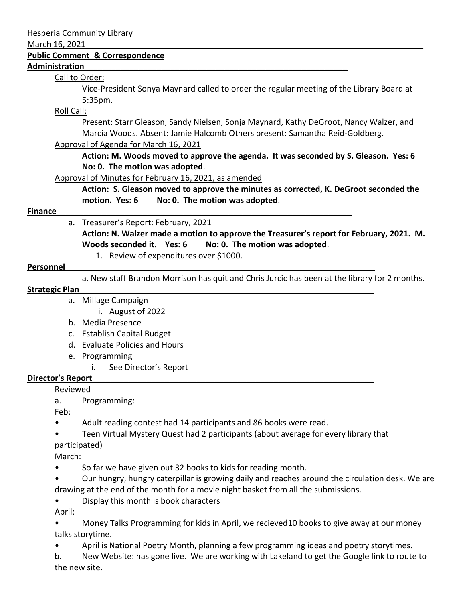#### March 16, 2021

#### **Public Comment\_& Correspondence**

### **Administration\_\_\_\_\_\_\_\_\_\_\_\_\_\_\_\_\_\_\_\_\_\_\_\_\_\_\_\_\_\_\_\_\_\_\_\_\_\_\_\_\_\_\_\_\_\_\_\_\_\_\_\_\_\_\_\_\_\_**

## Call to Order:

Vice-President Sonya Maynard called to order the regular meeting of the Library Board at 5:35pm.

## Roll Call:

Present: Starr Gleason, Sandy Nielsen, Sonja Maynard, Kathy DeGroot, Nancy Walzer, and Marcia Woods. Absent: Jamie Halcomb Others present: Samantha Reid-Goldberg.

## Approval of Agenda for March 16, 2021

**Action: M. Woods moved to approve the agenda. It was seconded by S. Gleason. Yes: 6 No: 0. The motion was adopted**.

Approval of Minutes for February 16, 2021, as amended

**Action: S. Gleason moved to approve the minutes as corrected, K. DeGroot seconded the motion. Yes: 6 No: 0. The motion was adopted**.

# **Finance\_\_\_\_\_\_\_\_\_\_\_\_\_\_\_\_\_\_\_\_\_\_\_\_\_\_\_\_\_\_\_\_\_\_\_\_\_\_\_\_\_\_\_\_\_\_\_\_\_\_\_\_\_\_\_\_\_\_\_\_\_\_\_\_\_**

a. Treasurer's Report: February, 2021

**Action: N. Walzer made a motion to approve the Treasurer's report for February, 2021. M.**  Woods seconded it. Yes: 6 No: 0. The motion was adopted.

1. Review of expenditures over \$1000.

#### **Personnel**

a. New staff Brandon Morrison has quit and Chris Jurcic has been at the library for 2 months.

#### **Strategic Plan\_\_\_\_\_\_\_\_\_\_\_\_\_\_\_\_\_\_\_\_\_\_\_\_\_\_\_\_\_\_\_\_\_\_\_\_\_\_\_\_\_\_\_\_\_\_\_\_\_\_\_\_\_\_\_\_\_\_\_\_\_\_\_\_\_**

- a. Millage Campaign
	- i. August of 2022
- b. Media Presence
- c. Establish Capital Budget
- d. Evaluate Policies and Hours
- e. Programming
	- i. See Director's Report

## **Director's Report\_\_\_\_\_\_\_\_\_\_\_\_\_\_\_\_\_\_\_\_\_\_\_\_\_\_\_\_\_\_\_\_\_\_\_\_\_\_\_\_\_\_\_\_\_\_\_\_\_\_\_\_\_\_\_\_\_\_\_\_\_\_**

Reviewed

a. Programming:

Feb:

- Adult reading contest had 14 participants and 86 books were read.
- Teen Virtual Mystery Quest had 2 participants (about average for every library that participated)

March:

- So far we have given out 32 books to kids for reading month.
- Our hungry, hungry caterpillar is growing daily and reaches around the circulation desk. We are drawing at the end of the month for a movie night basket from all the submissions.
- Display this month is book characters

April:

- Money Talks Programming for kids in April, we recieved10 books to give away at our money talks storytime.
- April is National Poetry Month, planning a few programming ideas and poetry storytimes.
- b. New Website: has gone live. We are working with Lakeland to get the Google link to route to the new site.